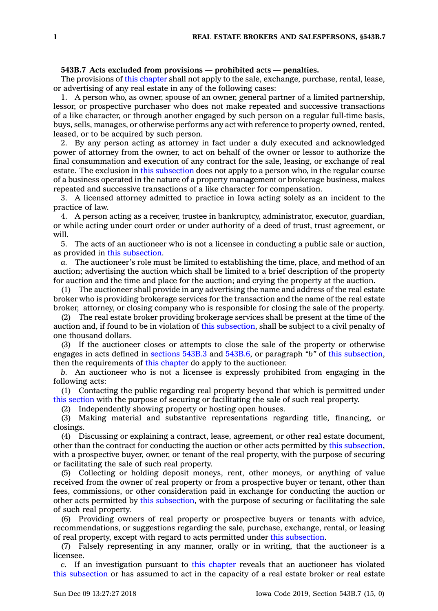## **543B.7 Acts excluded from provisions — prohibited acts — penalties.**

The provisions of this [chapter](https://www.legis.iowa.gov/docs/code//543B.pdf) shall not apply to the sale, exchange, purchase, rental, lease, or advertising of any real estate in any of the following cases:

1. A person who, as owner, spouse of an owner, general partner of <sup>a</sup> limited partnership, lessor, or prospective purchaser who does not make repeated and successive transactions of <sup>a</sup> like character, or through another engaged by such person on <sup>a</sup> regular full-time basis, buys, sells, manages, or otherwise performs any act with reference to property owned, rented, leased, or to be acquired by such person.

2. By any person acting as attorney in fact under <sup>a</sup> duly executed and acknowledged power of attorney from the owner, to act on behalf of the owner or lessor to authorize the final consummation and execution of any contract for the sale, leasing, or exchange of real estate. The exclusion in this [subsection](https://www.legis.iowa.gov/docs/code/543B.7.pdf) does not apply to <sup>a</sup> person who, in the regular course of <sup>a</sup> business operated in the nature of <sup>a</sup> property management or brokerage business, makes repeated and successive transactions of <sup>a</sup> like character for compensation.

3. A licensed attorney admitted to practice in Iowa acting solely as an incident to the practice of law.

4. A person acting as <sup>a</sup> receiver, trustee in bankruptcy, administrator, executor, guardian, or while acting under court order or under authority of <sup>a</sup> deed of trust, trust agreement, or will.

5. The acts of an auctioneer who is not <sup>a</sup> licensee in conducting <sup>a</sup> public sale or auction, as provided in this [subsection](https://www.legis.iowa.gov/docs/code/543B.7.pdf).

*a.* The auctioneer's role must be limited to establishing the time, place, and method of an auction; advertising the auction which shall be limited to <sup>a</sup> brief description of the property for auction and the time and place for the auction; and crying the property at the auction.

(1) The auctioneer shall provide in any advertising the name and address of the real estate broker who is providing brokerage services for the transaction and the name of the real estate broker, attorney, or closing company who is responsible for closing the sale of the property.

(2) The real estate broker providing brokerage services shall be present at the time of the auction and, if found to be in violation of this [subsection](https://www.legis.iowa.gov/docs/code/543B.7.pdf), shall be subject to <sup>a</sup> civil penalty of one thousand dollars.

(3) If the auctioneer closes or attempts to close the sale of the property or otherwise engages in acts defined in [sections](https://www.legis.iowa.gov/docs/code/543B.3.pdf) 543B.3 and [543B.6](https://www.legis.iowa.gov/docs/code/543B.6.pdf), or paragraph *"b"* of this [subsection](https://www.legis.iowa.gov/docs/code/543B.7.pdf), then the requirements of this [chapter](https://www.legis.iowa.gov/docs/code//543B.pdf) do apply to the auctioneer.

*b.* An auctioneer who is not <sup>a</sup> licensee is expressly prohibited from engaging in the following acts:

(1) Contacting the public regarding real property beyond that which is permitted under this [section](https://www.legis.iowa.gov/docs/code/543B.7.pdf) with the purpose of securing or facilitating the sale of such real property.

(2) Independently showing property or hosting open houses.

(3) Making material and substantive representations regarding title, financing, or closings.

(4) Discussing or explaining <sup>a</sup> contract, lease, agreement, or other real estate document, other than the contract for conducting the auction or other acts permitted by this [subsection](https://www.legis.iowa.gov/docs/code/543B.7.pdf), with <sup>a</sup> prospective buyer, owner, or tenant of the real property, with the purpose of securing or facilitating the sale of such real property.

(5) Collecting or holding deposit moneys, rent, other moneys, or anything of value received from the owner of real property or from <sup>a</sup> prospective buyer or tenant, other than fees, commissions, or other consideration paid in exchange for conducting the auction or other acts permitted by this [subsection](https://www.legis.iowa.gov/docs/code/543B.7.pdf), with the purpose of securing or facilitating the sale of such real property.

(6) Providing owners of real property or prospective buyers or tenants with advice, recommendations, or suggestions regarding the sale, purchase, exchange, rental, or leasing of real property, except with regard to acts permitted under this [subsection](https://www.legis.iowa.gov/docs/code/543B.7.pdf).

(7) Falsely representing in any manner, orally or in writing, that the auctioneer is <sup>a</sup> licensee.

*c.* If an investigation pursuant to this [chapter](https://www.legis.iowa.gov/docs/code//543B.pdf) reveals that an auctioneer has violated this [subsection](https://www.legis.iowa.gov/docs/code/543B.7.pdf) or has assumed to act in the capacity of <sup>a</sup> real estate broker or real estate